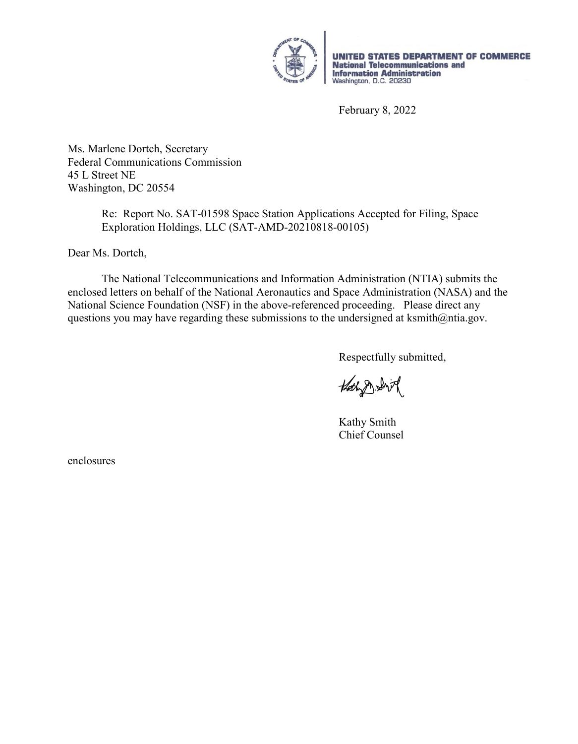

UNITED STATES DEPARTMENT OF COMMERCE Dividual STATES<br> **National Telecommunications and<br>
Information Administration**<br>
Washington, D.C. 20230

February 8, 2022

Ms. Marlene Dortch, Secretary Federal Communications Commission 45 L Street NE Washington, DC 20554

> Re: Report No. SAT-01598 Space Station Applications Accepted for Filing, Space Exploration Holdings, LLC (SAT-AMD-20210818-00105)

Dear Ms. Dortch,

 The National Telecommunications and Information Administration (NTIA) submits the enclosed letters on behalf of the National Aeronautics and Space Administration (NASA) and the National Science Foundation (NSF) in the above-referenced proceeding. Please direct any questions you may have regarding these submissions to the undersigned at ksmith@ntia.gov.

Respectfully submitted,

Hath D. Shirt

 Kathy Smith Chief Counsel

enclosures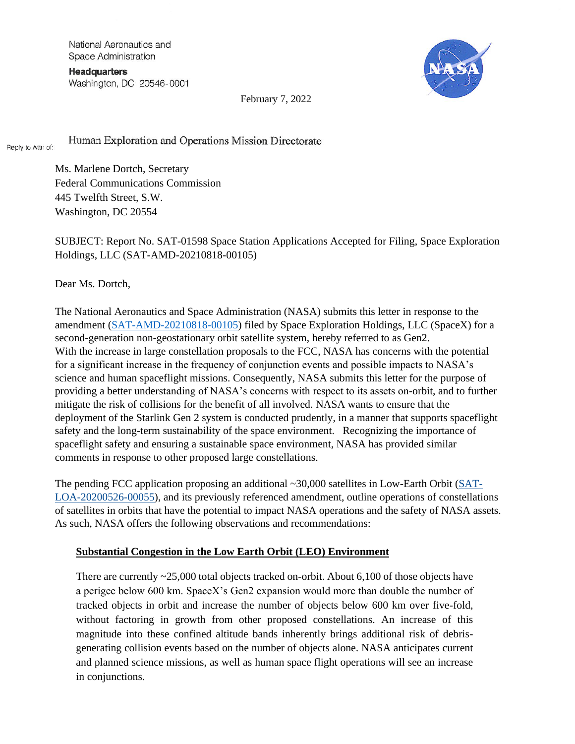National Aeronautics and Space Administration

**Headquarters** Washington, DC 20546-0001



February 7, 2022

Human Exploration and Operations Mission Directorate Reply to Attn of:

> Ms. Marlene Dortch, Secretary Federal Communications Commission 445 Twelfth Street, S.W. Washington, DC 20554

SUBJECT: Report No. SAT-01598 Space Station Applications Accepted for Filing, Space Exploration Holdings, LLC (SAT-AMD-20210818-00105)

Dear Ms. Dortch,

The National Aeronautics and Space Administration (NASA) submits this letter in response to the amendment [\(SAT-AMD-20210818-00105\)](http://licensing.fcc.gov/cgi-bin/ws.exe/prod/ib/forms/reports/swr031b.hts?q_set=V_SITE_ANTENNA_FREQ.file_numberC/File+Number/%3D/SATAMD2021081800105&prepare=&column=V_SITE_ANTENNA_FREQ.file_numberC/File+Number) filed by Space Exploration Holdings, LLC (SpaceX) for a second-generation non-geostationary orbit satellite system, hereby referred to as Gen2. With the increase in large constellation proposals to the FCC, NASA has concerns with the potential for a significant increase in the frequency of conjunction events and possible impacts to NASA's science and human spaceflight missions. Consequently, NASA submits this letter for the purpose of providing a better understanding of NASA's concerns with respect to its assets on-orbit, and to further mitigate the risk of collisions for the benefit of all involved. NASA wants to ensure that the deployment of the Starlink Gen 2 system is conducted prudently, in a manner that supports spaceflight safety and the long-term sustainability of the space environment. Recognizing the importance of spaceflight safety and ensuring a sustainable space environment, NASA has provided similar comments in response to other proposed large constellations.

The pending FCC application proposing an additional  $\sim$ 30,000 satellites in Low-Earth Orbit ( $SAT$ [LOA-20200526-00055\)](https://gcc02.safelinks.protection.outlook.com/?url=http%3A%2F%2Flicensing.fcc.gov%2Fcgi-bin%2Fws.exe%2Fprod%2Fib%2Fforms%2Freports%2Fswr031b.hts%3Fq_set%3DV_SITE_ANTENNA_FREQ.file_numberC%2FFile%2BNumber%2F%253D%2FSATLOA2020052600055%26prepare%3D%26column%3DV_SITE_ANTENNA_FREQ.file_numberC%2FFile%2BNumber&data=04%7C01%7Cdolan.e.highsmith%40nasa.gov%7Cea89ee324db3458edb0208d95b4c6032%7C7005d45845be48ae8140d43da96dd17b%7C0%7C0%7C637641205845039228%7CUnknown%7CTWFpbGZsb3d8eyJWIjoiMC4wLjAwMDAiLCJQIjoiV2luMzIiLCJBTiI6Ik1haWwiLCJXVCI6Mn0%3D%7C1000&sdata=QzNBZzbFUVKcq7K2PTmjNvAnfGfs55dWQMDeM%2FkrsSs%3D&reserved=0), and its previously referenced amendment, outline operations of constellations of satellites in orbits that have the potential to impact NASA operations and the safety of NASA assets. As such, NASA offers the following observations and recommendations:

## **Substantial Congestion in the Low Earth Orbit (LEO) Environment**

There are currently ~25,000 total objects tracked on-orbit. About 6,100 of those objects have a perigee below 600 km. SpaceX's Gen2 expansion would more than double the number of tracked objects in orbit and increase the number of objects below 600 km over five-fold, without factoring in growth from other proposed constellations. An increase of this magnitude into these confined altitude bands inherently brings additional risk of debrisgenerating collision events based on the number of objects alone. NASA anticipates current and planned science missions, as well as human space flight operations will see an increase in conjunctions.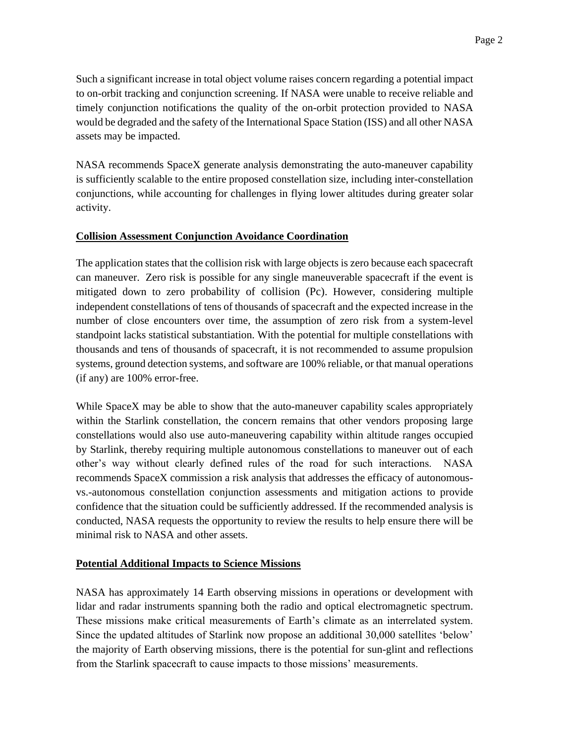Such a significant increase in total object volume raises concern regarding a potential impact to on-orbit tracking and conjunction screening. If NASA were unable to receive reliable and timely conjunction notifications the quality of the on-orbit protection provided to NASA would be degraded and the safety of the International Space Station (ISS) and all other NASA assets may be impacted.

NASA recommends SpaceX generate analysis demonstrating the auto-maneuver capability is sufficiently scalable to the entire proposed constellation size, including inter-constellation conjunctions, while accounting for challenges in flying lower altitudes during greater solar activity.

#### **Collision Assessment Conjunction Avoidance Coordination**

The application states that the collision risk with large objects is zero because each spacecraft can maneuver. Zero risk is possible for any single maneuverable spacecraft if the event is mitigated down to zero probability of collision (Pc). However, considering multiple independent constellations of tens of thousands of spacecraft and the expected increase in the number of close encounters over time, the assumption of zero risk from a system-level standpoint lacks statistical substantiation. With the potential for multiple constellations with thousands and tens of thousands of spacecraft, it is not recommended to assume propulsion systems, ground detection systems, and software are 100% reliable, or that manual operations (if any) are 100% error-free.

While SpaceX may be able to show that the auto-maneuver capability scales appropriately within the Starlink constellation, the concern remains that other vendors proposing large constellations would also use auto-maneuvering capability within altitude ranges occupied by Starlink, thereby requiring multiple autonomous constellations to maneuver out of each other's way without clearly defined rules of the road for such interactions. NASA recommends SpaceX commission a risk analysis that addresses the efficacy of autonomousvs.-autonomous constellation conjunction assessments and mitigation actions to provide confidence that the situation could be sufficiently addressed. If the recommended analysis is conducted, NASA requests the opportunity to review the results to help ensure there will be minimal risk to NASA and other assets.

#### **Potential Additional Impacts to Science Missions**

NASA has approximately 14 Earth observing missions in operations or development with lidar and radar instruments spanning both the radio and optical electromagnetic spectrum. These missions make critical measurements of Earth's climate as an interrelated system. Since the updated altitudes of Starlink now propose an additional 30,000 satellites 'below' the majority of Earth observing missions, there is the potential for sun-glint and reflections from the Starlink spacecraft to cause impacts to those missions' measurements.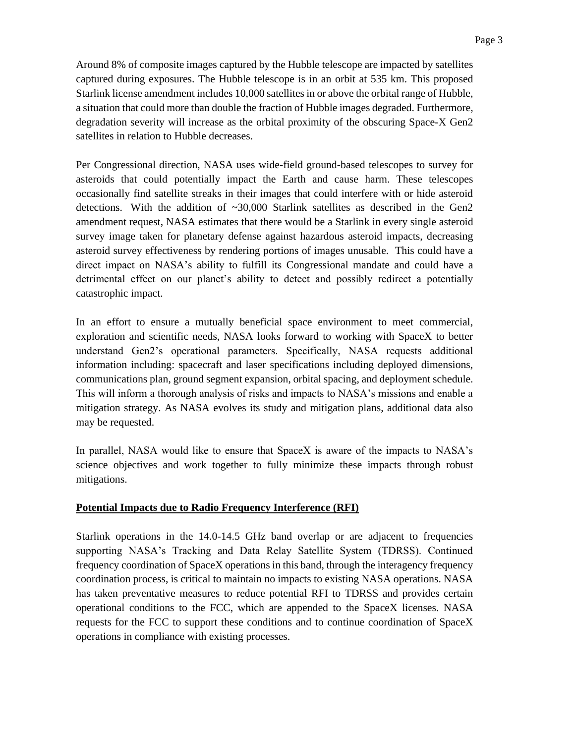Around 8% of composite images captured by the Hubble telescope are impacted by satellites captured during exposures. The Hubble telescope is in an orbit at 535 km. This proposed Starlink license amendment includes 10,000 satellites in or above the orbital range of Hubble, a situation that could more than double the fraction of Hubble images degraded. Furthermore, degradation severity will increase as the orbital proximity of the obscuring Space-X Gen2 satellites in relation to Hubble decreases.

Per Congressional direction, NASA uses wide-field ground-based telescopes to survey for asteroids that could potentially impact the Earth and cause harm. These telescopes occasionally find satellite streaks in their images that could interfere with or hide asteroid detections. With the addition of  $\sim$ 30,000 Starlink satellites as described in the Gen2 amendment request, NASA estimates that there would be a Starlink in every single asteroid survey image taken for planetary defense against hazardous asteroid impacts, decreasing asteroid survey effectiveness by rendering portions of images unusable. This could have a direct impact on NASA's ability to fulfill its Congressional mandate and could have a detrimental effect on our planet's ability to detect and possibly redirect a potentially catastrophic impact.

In an effort to ensure a mutually beneficial space environment to meet commercial, exploration and scientific needs, NASA looks forward to working with SpaceX to better understand Gen2's operational parameters. Specifically, NASA requests additional information including: spacecraft and laser specifications including deployed dimensions, communications plan, ground segment expansion, orbital spacing, and deployment schedule. This will inform a thorough analysis of risks and impacts to NASA's missions and enable a mitigation strategy. As NASA evolves its study and mitigation plans, additional data also may be requested.

In parallel, NASA would like to ensure that SpaceX is aware of the impacts to NASA's science objectives and work together to fully minimize these impacts through robust mitigations.

## **Potential Impacts due to Radio Frequency Interference (RFI)**

Starlink operations in the 14.0-14.5 GHz band overlap or are adjacent to frequencies supporting NASA's Tracking and Data Relay Satellite System (TDRSS). Continued frequency coordination of SpaceX operations in this band, through the interagency frequency coordination process, is critical to maintain no impacts to existing NASA operations. NASA has taken preventative measures to reduce potential RFI to TDRSS and provides certain operational conditions to the FCC, which are appended to the SpaceX licenses. NASA requests for the FCC to support these conditions and to continue coordination of SpaceX operations in compliance with existing processes.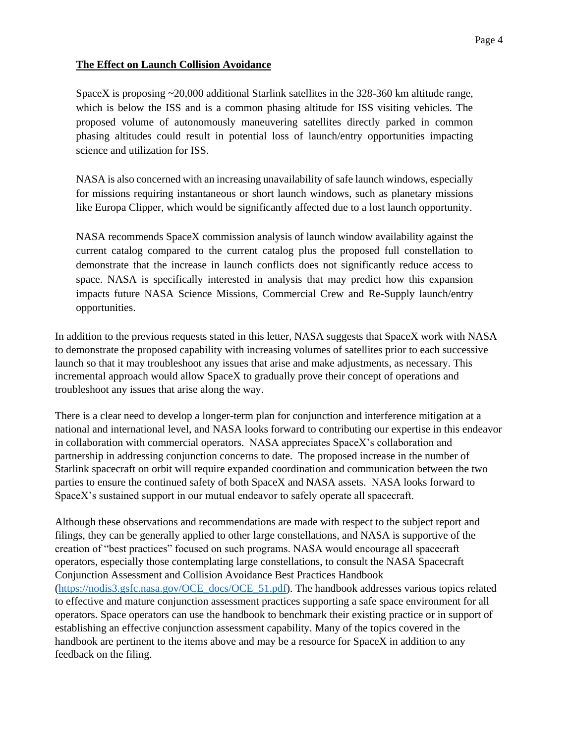## **The Effect on Launch Collision Avoidance**

SpaceX is proposing ~20,000 additional Starlink satellites in the 328-360 km altitude range, which is below the ISS and is a common phasing altitude for ISS visiting vehicles. The proposed volume of autonomously maneuvering satellites directly parked in common phasing altitudes could result in potential loss of launch/entry opportunities impacting science and utilization for ISS.

NASA is also concerned with an increasing unavailability of safe launch windows, especially for missions requiring instantaneous or short launch windows, such as planetary missions like Europa Clipper, which would be significantly affected due to a lost launch opportunity.

NASA recommends SpaceX commission analysis of launch window availability against the current catalog compared to the current catalog plus the proposed full constellation to demonstrate that the increase in launch conflicts does not significantly reduce access to space. NASA is specifically interested in analysis that may predict how this expansion impacts future NASA Science Missions, Commercial Crew and Re-Supply launch/entry opportunities.

In addition to the previous requests stated in this letter, NASA suggests that SpaceX work with NASA to demonstrate the proposed capability with increasing volumes of satellites prior to each successive launch so that it may troubleshoot any issues that arise and make adjustments, as necessary. This incremental approach would allow SpaceX to gradually prove their concept of operations and troubleshoot any issues that arise along the way.

There is a clear need to develop a longer-term plan for conjunction and interference mitigation at a national and international level, and NASA looks forward to contributing our expertise in this endeavor in collaboration with commercial operators. NASA appreciates SpaceX's collaboration and partnership in addressing conjunction concerns to date. The proposed increase in the number of Starlink spacecraft on orbit will require expanded coordination and communication between the two parties to ensure the continued safety of both SpaceX and NASA assets. NASA looks forward to SpaceX's sustained support in our mutual endeavor to safely operate all spacecraft.

Although these observations and recommendations are made with respect to the subject report and filings, they can be generally applied to other large constellations, and NASA is supportive of the creation of "best practices" focused on such programs. NASA would encourage all spacecraft operators, especially those contemplating large constellations, to consult the NASA Spacecraft Conjunction Assessment and Collision Avoidance Best Practices Handbook [\(https://nodis3.gsfc.nasa.gov/OCE\\_docs/OCE\\_51.pdf\)](https://nodis3.gsfc.nasa.gov/OCE_docs/OCE_51.pdf). The handbook addresses various topics related to effective and mature conjunction assessment practices supporting a safe space environment for all operators. Space operators can use the handbook to benchmark their existing practice or in support of establishing an effective conjunction assessment capability. Many of the topics covered in the handbook are pertinent to the items above and may be a resource for SpaceX in addition to any feedback on the filing.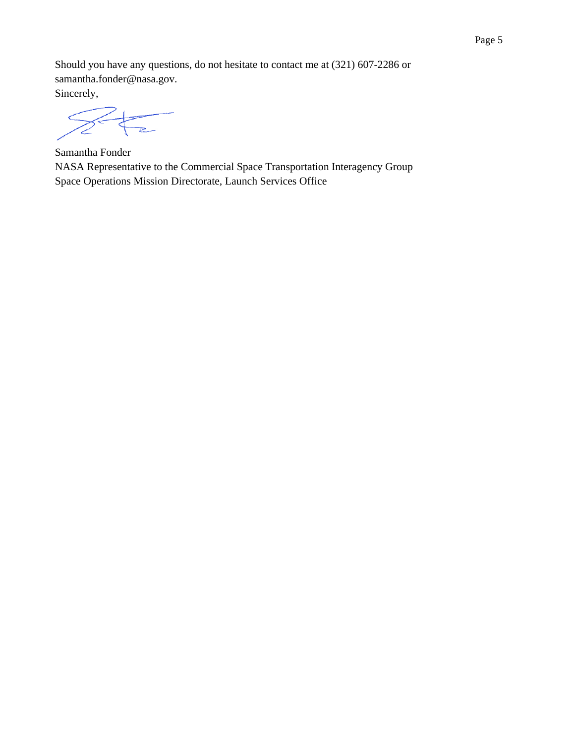Should you have any questions, do not hesitate to contact me at (321) 607-2286 or samantha.fonder@nasa.gov.

Sincerely,

Samantha Fonder NASA Representative to the Commercial Space Transportation Interagency Group Space Operations Mission Directorate, Launch Services Office